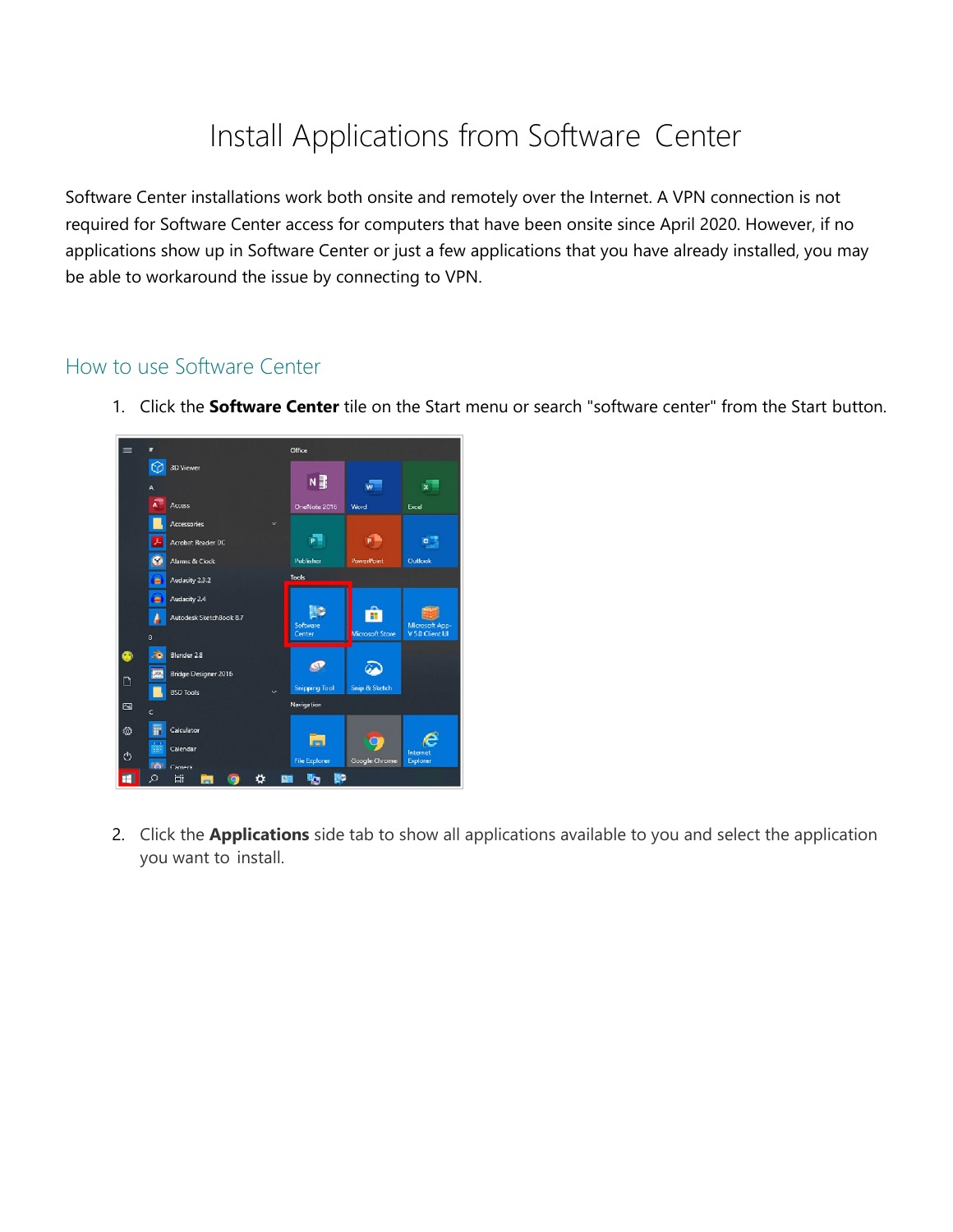## [Install Applications from Software](https://bsd405.sharepoint.com/HowTo/Technology/SitePages/Windows%2010/Install%20Applications%20from%20Software%20Center.aspx) Center

Software Center installations work both onsite and remotely over the Internet. A VPN connection is not required for Software Center access for computers that have been onsite since April 2020. However, if no applications show up in Software Center or just a few applications that you have already installed, you may be able to workaround the issue by connecting to VPN.

## How to use Software Center





2. Click the **Applications** side tab to show all applications available to you and select the application you want to install.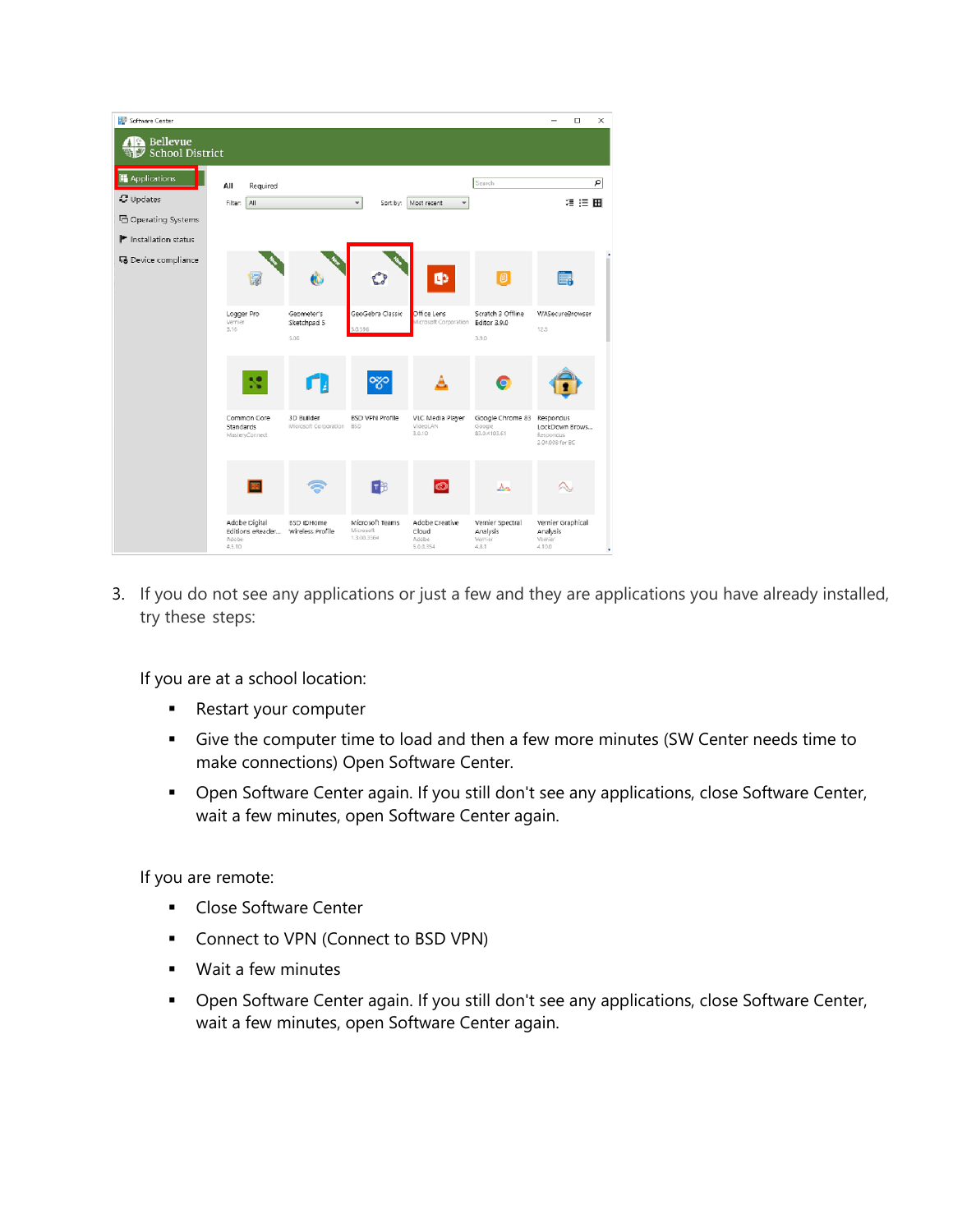| Software Center                           |                                                      |                                         |                                             |                                               |                                                  | $\Box$<br>$\times$                                                 |
|-------------------------------------------|------------------------------------------------------|-----------------------------------------|---------------------------------------------|-----------------------------------------------|--------------------------------------------------|--------------------------------------------------------------------|
| <b>B</b> Bellevue<br>School District      |                                                      |                                         |                                             |                                               |                                                  |                                                                    |
| Applications                              | All<br>Required                                      |                                         |                                             |                                               | Search                                           | $\overline{P}$                                                     |
| <b>C</b> Updates                          | All<br>Filten                                        |                                         | Sort by:                                    | Most recent                                   |                                                  | 須 狂 田                                                              |
| <b>己 Operating Systems</b>                |                                                      |                                         |                                             |                                               |                                                  |                                                                    |
| $\blacktriangleright$ Installation status |                                                      |                                         |                                             |                                               |                                                  |                                                                    |
| 易 Device compliance                       |                                                      | 65                                      |                                             | <b>O</b>                                      | O                                                | Ë.                                                                 |
|                                           | Logger Pro<br>Vernier<br>3.16                        | Geometer's<br>Sketchpad 5<br>5.06       | GeoGebra Classic<br>0.596                   | Office Lens<br>Microsoft Corporation          | Scratch 3 Offline<br>Editor 3.9.0<br>3.9.0       | WASecureBrowser<br>12.5                                            |
|                                           |                                                      |                                         | ౡ                                           |                                               | G                                                |                                                                    |
|                                           | Common Core<br>Standards<br>MasteryConnect           | 3D Builder<br>Microsoft Corporation 85D | <b>BSD VPN Profile</b>                      | VLC Media Player<br>VideoLAN<br>3.0.10        | Google Chrome 83<br>Google<br>83,0.4103,61       | <b>Respondus</b><br>LockDown Brows<br>Respondus<br>2.04.008 for BC |
|                                           |                                                      |                                         | 日部                                          | $\bullet$                                     | ᄮ                                                |                                                                    |
|                                           | Adobe Digital<br>Editions eReader<br>Adobe<br>4.5.10 | <b>BSD @Home</b><br>Wireless Profile    | Microsoft Teams<br>Microsoft<br>1.3.00.3564 | Adobe Creative<br>Cloud<br>Adobe<br>5.0.0.354 | Vernier Spectral<br>Analysis<br>Wernier<br>4.8.1 | Vernier Graphical<br>Analysis<br>Vernier<br>4.10.0                 |

3. If you do not see any applications or just a few and they are applications you have already installed, try these steps:

If you are at a school location:

- **Restart your computer**
- Give the computer time to load and then a few more minutes (SW Center needs time to make connections) Open Software Center.
- **Den Software Center again. If you still don't see any applications, close Software Center,** wait a few minutes, open Software Center again.

If you are remote:

- **Close Software Center**
- **Connect to VPN [\(Connect to BSD VPN\)](https://bsd405.org/wp-content/uploads/2021/01/Technology-Connect-to-BSD-VPN.pdf)**
- **Wait a few minutes**
- **•** Open Software Center again. If you still don't see any applications, close Software Center, wait a few minutes, open Software Center again.